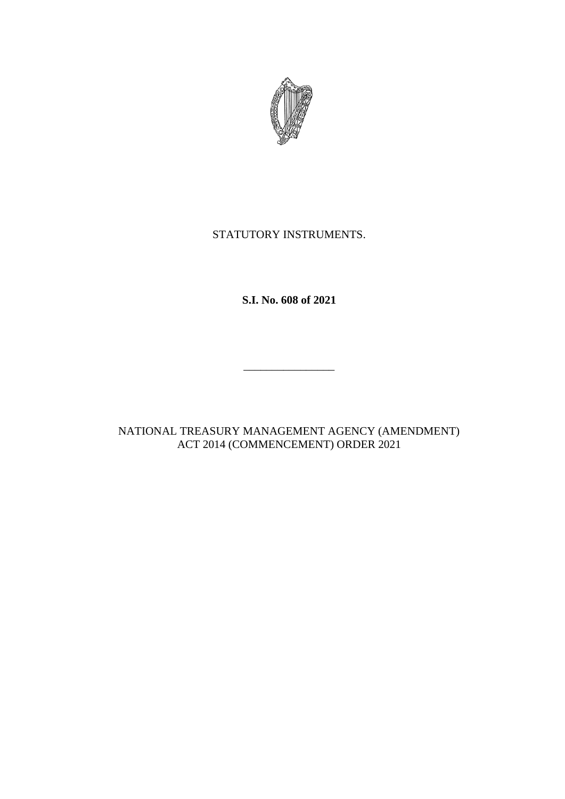

## STATUTORY INSTRUMENTS.

**S.I. No. 608 of 2021**

\_\_\_\_\_\_\_\_\_\_\_\_\_\_\_\_

NATIONAL TREASURY MANAGEMENT AGENCY (AMENDMENT) ACT 2014 (COMMENCEMENT) ORDER 2021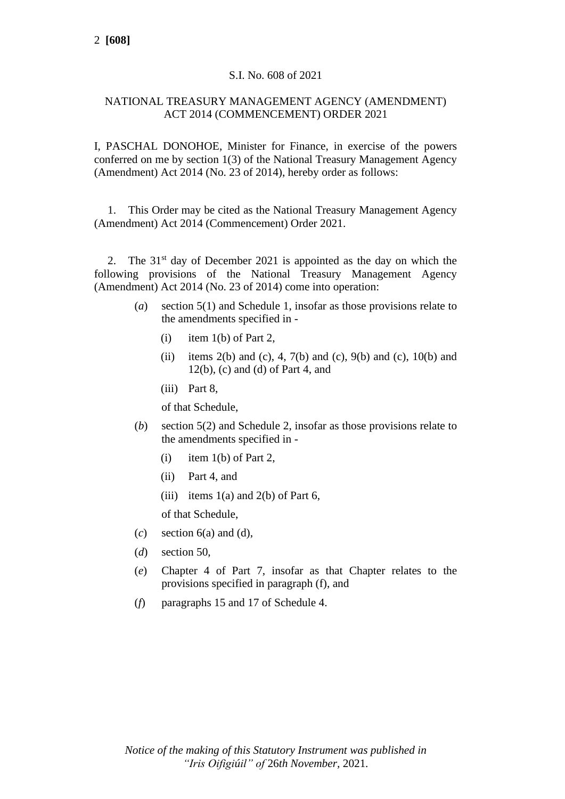## S.I. No. 608 of 2021

## NATIONAL TREASURY MANAGEMENT AGENCY (AMENDMENT) ACT 2014 (COMMENCEMENT) ORDER 2021

I, PASCHAL DONOHOE, Minister for Finance, in exercise of the powers conferred on me by section 1(3) of the National Treasury Management Agency (Amendment) Act 2014 (No. 23 of 2014), hereby order as follows:

1. This Order may be cited as the National Treasury Management Agency (Amendment) Act 2014 (Commencement) Order 2021.

2. The  $31<sup>st</sup>$  day of December 2021 is appointed as the day on which the following provisions of the National Treasury Management Agency (Amendment) Act 2014 (No. 23 of 2014) come into operation:

- (*a*) section 5(1) and Schedule 1, insofar as those provisions relate to the amendments specified in -
	- $(i)$  item  $1(b)$  of Part 2,
	- (ii) items 2(b) and (c), 4, 7(b) and (c), 9(b) and (c), 10(b) and  $12(b)$ , (c) and (d) of Part 4, and
	- (iii) Part 8,

of that Schedule,

- (*b*) section 5(2) and Schedule 2, insofar as those provisions relate to the amendments specified in -
	- $(i)$  item 1(b) of Part 2,
	- (ii) Part 4, and
	- (iii) items  $1(a)$  and  $2(b)$  of Part 6,

of that Schedule,

- $(c)$  section  $6(a)$  and  $(d)$ ,
- (*d*) section 50,
- (*e*) Chapter 4 of Part 7, insofar as that Chapter relates to the provisions specified in paragraph (f), and
- (*f*) paragraphs 15 and 17 of Schedule 4.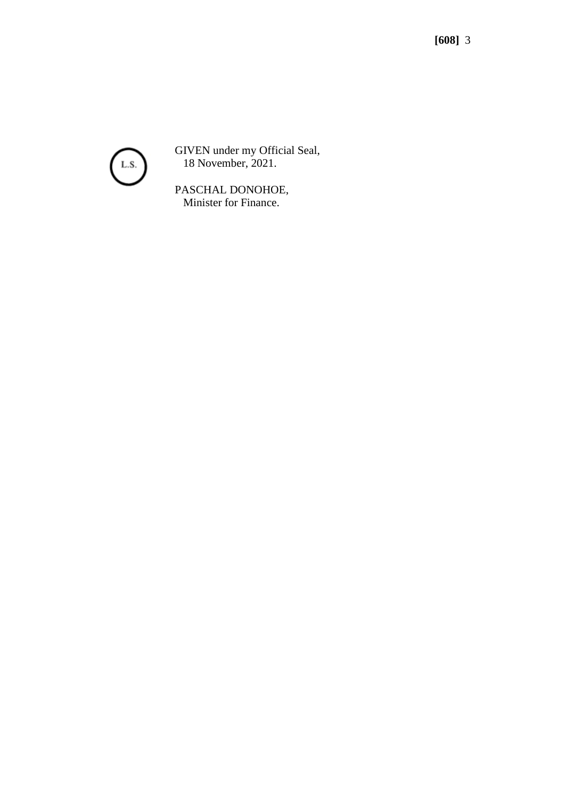

GIVEN under my Official Seal, 18 November, 2021.

PASCHAL DONOHOE, Minister for Finance.